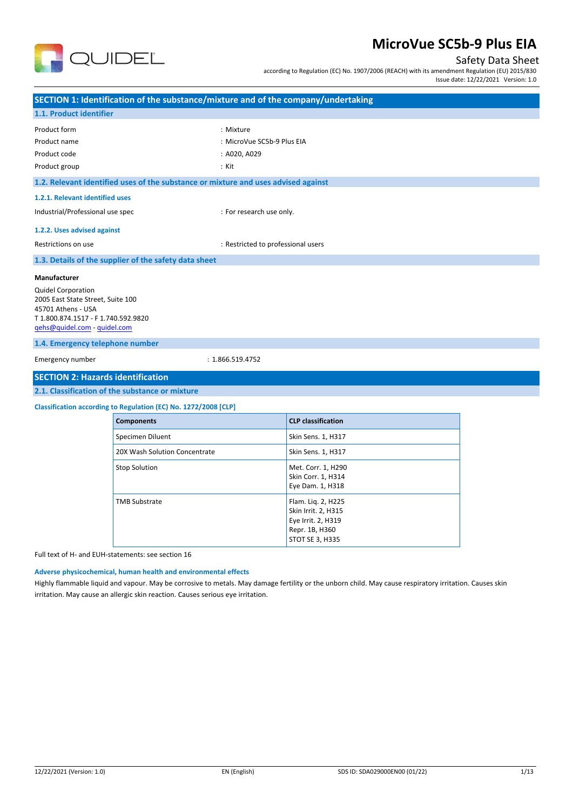

### Safety Data Sheet

according to Regulation (EC) No. 1907/2006 (REACH) with its amendment Regulation (EU) 2015/830

| Issue date: 12/22/2021 Version: 1.0 |  |
|-------------------------------------|--|
|                                     |  |

| SECTION 1: Identification of the substance/mixture and of the company/undertaking                                                                                                   |                                                                 |                                                                                                      |  |  |  |
|-------------------------------------------------------------------------------------------------------------------------------------------------------------------------------------|-----------------------------------------------------------------|------------------------------------------------------------------------------------------------------|--|--|--|
| 1.1. Product identifier                                                                                                                                                             |                                                                 |                                                                                                      |  |  |  |
| Product form                                                                                                                                                                        |                                                                 | : Mixture                                                                                            |  |  |  |
| Product name                                                                                                                                                                        |                                                                 | : MicroVue SC5b-9 Plus EIA                                                                           |  |  |  |
| Product code                                                                                                                                                                        |                                                                 | : A020, A029                                                                                         |  |  |  |
| Product group                                                                                                                                                                       |                                                                 | $:$ Kit                                                                                              |  |  |  |
|                                                                                                                                                                                     |                                                                 | 1.2. Relevant identified uses of the substance or mixture and uses advised against                   |  |  |  |
| 1.2.1. Relevant identified uses                                                                                                                                                     |                                                                 |                                                                                                      |  |  |  |
| Industrial/Professional use spec                                                                                                                                                    |                                                                 | : For research use only.                                                                             |  |  |  |
| 1.2.2. Uses advised against                                                                                                                                                         |                                                                 |                                                                                                      |  |  |  |
| Restrictions on use                                                                                                                                                                 |                                                                 | : Restricted to professional users                                                                   |  |  |  |
|                                                                                                                                                                                     | 1.3. Details of the supplier of the safety data sheet           |                                                                                                      |  |  |  |
| 2005 East State Street, Suite 100<br>45701 Athens - USA<br>T1.800.874.1517 - F1.740.592.9820<br>qehs@quidel.com - quidel.com<br>1.4. Emergency telephone number<br>Emergency number |                                                                 | : 1.866.519.4752                                                                                     |  |  |  |
| <b>SECTION 2: Hazards identification</b>                                                                                                                                            |                                                                 |                                                                                                      |  |  |  |
|                                                                                                                                                                                     | 2.1. Classification of the substance or mixture                 |                                                                                                      |  |  |  |
|                                                                                                                                                                                     | Classification according to Regulation (EC) No. 1272/2008 [CLP] |                                                                                                      |  |  |  |
|                                                                                                                                                                                     | <b>Components</b>                                               | <b>CLP</b> classification                                                                            |  |  |  |
|                                                                                                                                                                                     | Specimen Diluent                                                | Skin Sens. 1, H317                                                                                   |  |  |  |
|                                                                                                                                                                                     | 20X Wash Solution Concentrate                                   | Skin Sens. 1, H317                                                                                   |  |  |  |
|                                                                                                                                                                                     | <b>Stop Solution</b>                                            | Met. Corr. 1, H290<br>Skin Corr. 1, H314<br>Eye Dam. 1, H318                                         |  |  |  |
|                                                                                                                                                                                     | <b>TMB Substrate</b>                                            | Flam. Liq. 2, H225<br>Skin Irrit. 2, H315<br>Eye Irrit. 2, H319<br>Repr. 1B, H360<br>STOT SE 3, H335 |  |  |  |
|                                                                                                                                                                                     | Full text of H- and FUH-statements: see section 16              |                                                                                                      |  |  |  |

Full text of H- and EUH-statements: see section 16

### **Adverse physicochemical, human health and environmental effects**

Highly flammable liquid and vapour. May be corrosive to metals. May damage fertility or the unborn child. May cause respiratory irritation. Causes skin irritation. May cause an allergic skin reaction. Causes serious eye irritation.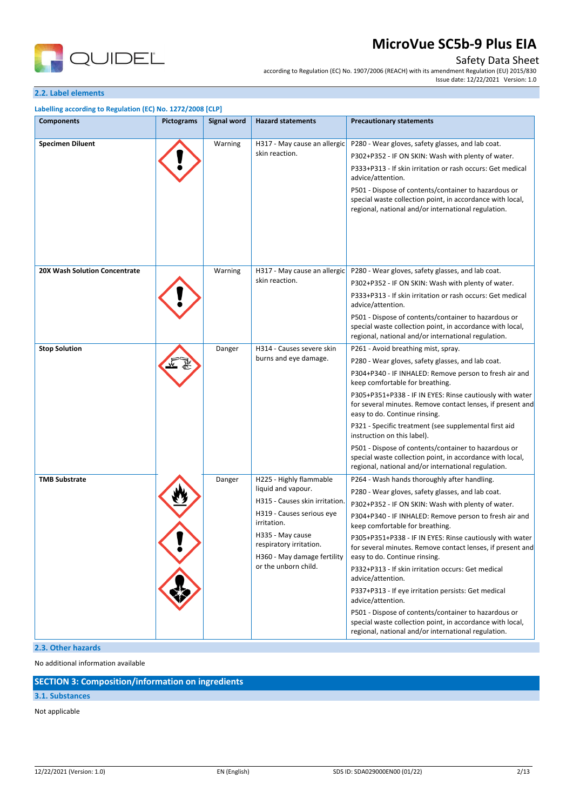

### Safety Data Sheet

according to Regulation (EC) No. 1907/2006 (REACH) with its amendment Regulation (EU) 2015/830 Issue date: 12/22/2021 Version: 1.0

#### **2.2. Label elements**

| <b>Components</b>             | <b>Pictograms</b> | <b>Signal word</b> | <b>Hazard statements</b>                                                                                                                                                                                                          | <b>Precautionary statements</b>                                                                                                                                                                                                                                                                                                                                                                                                                                                                                                                                                                                                                                                             |
|-------------------------------|-------------------|--------------------|-----------------------------------------------------------------------------------------------------------------------------------------------------------------------------------------------------------------------------------|---------------------------------------------------------------------------------------------------------------------------------------------------------------------------------------------------------------------------------------------------------------------------------------------------------------------------------------------------------------------------------------------------------------------------------------------------------------------------------------------------------------------------------------------------------------------------------------------------------------------------------------------------------------------------------------------|
| <b>Specimen Diluent</b>       |                   | Warning            | H317 - May cause an allergic<br>skin reaction.                                                                                                                                                                                    | P280 - Wear gloves, safety glasses, and lab coat.<br>P302+P352 - IF ON SKIN: Wash with plenty of water.<br>P333+P313 - If skin irritation or rash occurs: Get medical<br>advice/attention.<br>P501 - Dispose of contents/container to hazardous or<br>special waste collection point, in accordance with local,<br>regional, national and/or international regulation.                                                                                                                                                                                                                                                                                                                      |
| 20X Wash Solution Concentrate |                   | Warning            | H317 - May cause an allergic<br>skin reaction.                                                                                                                                                                                    | P280 - Wear gloves, safety glasses, and lab coat.<br>P302+P352 - IF ON SKIN: Wash with plenty of water.<br>P333+P313 - If skin irritation or rash occurs: Get medical<br>advice/attention.<br>P501 - Dispose of contents/container to hazardous or<br>special waste collection point, in accordance with local,<br>regional, national and/or international regulation.                                                                                                                                                                                                                                                                                                                      |
| <b>Stop Solution</b>          |                   | Danger             | H314 - Causes severe skin<br>burns and eye damage.                                                                                                                                                                                | P261 - Avoid breathing mist, spray.<br>P280 - Wear gloves, safety glasses, and lab coat.<br>P304+P340 - IF INHALED: Remove person to fresh air and<br>keep comfortable for breathing.<br>P305+P351+P338 - IF IN EYES: Rinse cautiously with water<br>for several minutes. Remove contact lenses, if present and<br>easy to do. Continue rinsing.<br>P321 - Specific treatment (see supplemental first aid<br>instruction on this label).<br>P501 - Dispose of contents/container to hazardous or<br>special waste collection point, in accordance with local,<br>regional, national and/or international regulation.                                                                        |
| <b>TMB Substrate</b>          |                   | Danger             | H225 - Highly flammable<br>liquid and vapour.<br>H315 - Causes skin irritation.<br>H319 - Causes serious eye<br>irritation.<br>H335 - May cause<br>respiratory irritation.<br>H360 - May damage fertility<br>or the unborn child. | P264 - Wash hands thoroughly after handling.<br>P280 - Wear gloves, safety glasses, and lab coat.<br>P302+P352 - IF ON SKIN: Wash with plenty of water.<br>P304+P340 - IF INHALED: Remove person to fresh air and<br>keep comfortable for breathing.<br>P305+P351+P338 - IF IN EYES: Rinse cautiously with water<br>for several minutes. Remove contact lenses, if present and<br>easy to do. Continue rinsing.<br>P332+P313 - If skin irritation occurs: Get medical<br>advice/attention.<br>P337+P313 - If eye irritation persists: Get medical<br>advice/attention.<br>P501 - Dispose of contents/container to hazardous or<br>special waste collection point, in accordance with local, |

No additional information available

### **SECTION 3: Composition/information on ingredients**

#### **3.1. Substances**

Not applicable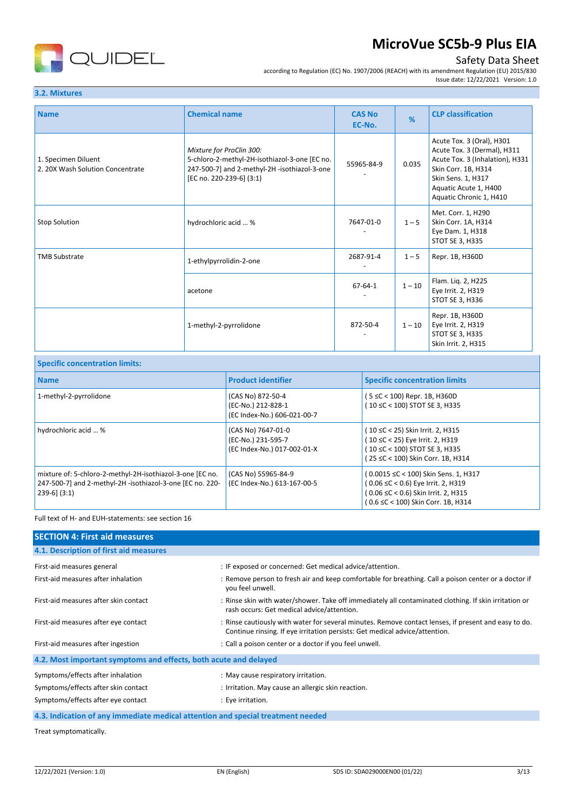

## Safety Data Sheet

according to Regulation (EC) No. 1907/2006 (REACH) with its amendment Regulation (EU) 2015/830 Issue date: 12/22/2021 Version: 1.0

## **3.2. Mixtures**

| <b>Name</b>                                             | <b>Chemical name</b>                                                                                                                                  | <b>CAS No</b><br>EC-No. | %        | <b>CLP classification</b>                                                                                                                                                                    |
|---------------------------------------------------------|-------------------------------------------------------------------------------------------------------------------------------------------------------|-------------------------|----------|----------------------------------------------------------------------------------------------------------------------------------------------------------------------------------------------|
| 1. Specimen Diluent<br>2. 20X Wash Solution Concentrate | Mixture for ProClin 300:<br>5-chloro-2-methyl-2H-isothiazol-3-one [EC no.<br>247-500-7] and 2-methyl-2H -isothiazol-3-one<br>[EC no. 220-239-6] (3:1) | 55965-84-9              | 0.035    | Acute Tox. 3 (Oral), H301<br>Acute Tox. 3 (Dermal), H311<br>Acute Tox. 3 (Inhalation), H331<br>Skin Corr. 1B, H314<br>Skin Sens. 1, H317<br>Aquatic Acute 1, H400<br>Aquatic Chronic 1, H410 |
| <b>Stop Solution</b>                                    | hydrochloric acid  %                                                                                                                                  | 7647-01-0               | $1 - 5$  | Met. Corr. 1, H290<br>Skin Corr. 1A, H314<br>Eye Dam. 1, H318<br>STOT SE 3, H335                                                                                                             |
| <b>TMB Substrate</b>                                    | 1-ethylpyrrolidin-2-one                                                                                                                               | 2687-91-4               | $1 - 5$  | Repr. 1B, H360D                                                                                                                                                                              |
|                                                         | acetone                                                                                                                                               | 67-64-1                 | $1 - 10$ | Flam. Liq. 2, H225<br>Eye Irrit. 2, H319<br>STOT SE 3, H336                                                                                                                                  |
|                                                         | 1-methyl-2-pyrrolidone                                                                                                                                | 872-50-4                | $1 - 10$ | Repr. 1B, H360D<br>Eye Irrit. 2, H319<br>STOT SE 3, H335<br>Skin Irrit. 2, H315                                                                                                              |

| <b>Specific concentration limits:</b>                                                                                                       |                                                                         |                                                                                                                                                         |  |
|---------------------------------------------------------------------------------------------------------------------------------------------|-------------------------------------------------------------------------|---------------------------------------------------------------------------------------------------------------------------------------------------------|--|
| <b>Name</b>                                                                                                                                 | <b>Product identifier</b>                                               | <b>Specific concentration limits</b>                                                                                                                    |  |
| 1-methyl-2-pyrrolidone                                                                                                                      | (CAS No) 872-50-4<br>(EC-No.) 212-828-1<br>(EC Index-No.) 606-021-00-7  | (5 ≤C < 100) Repr. 1B, H360D<br>(10 ≤C < 100) STOT SE 3, H335                                                                                           |  |
| hydrochloric acid  %                                                                                                                        | (CAS No) 7647-01-0<br>(EC-No.) 231-595-7<br>(EC Index-No.) 017-002-01-X | (10 ≤C < 25) Skin Irrit. 2, H315<br>(10 ≤C < 25) Eye Irrit. 2, H319<br>(10 ≤C < 100) STOT SE 3, H335<br>(25 ≤C < 100) Skin Corr. 1B, H314               |  |
| mixture of: 5-chloro-2-methyl-2H-isothiazol-3-one [EC no.<br>247-500-7] and 2-methyl-2H -isothiazol-3-one [EC no. 220-<br>$239-6$ ] $(3:1)$ | (CAS No) 55965-84-9<br>(EC Index-No.) 613-167-00-5                      | (0.0015 ≤C < 100) Skin Sens. 1, H317<br>(0.06 ≤C < 0.6) Eye Irrit. 2, H319<br>(0.06 ≤C < 0.6) Skin Irrit. 2, H315<br>(0.6 ≤C < 100) Skin Corr. 1B, H314 |  |

Full text of H- and EUH-statements: see section 16

| <b>SECTION 4: First aid measures</b>                                            |                                                                                                                                                                                     |
|---------------------------------------------------------------------------------|-------------------------------------------------------------------------------------------------------------------------------------------------------------------------------------|
| 4.1. Description of first aid measures                                          |                                                                                                                                                                                     |
| First-aid measures general                                                      | : IF exposed or concerned: Get medical advice/attention.                                                                                                                            |
| First-aid measures after inhalation                                             | : Remove person to fresh air and keep comfortable for breathing. Call a poison center or a doctor if<br>you feel unwell.                                                            |
| First-aid measures after skin contact                                           | : Rinse skin with water/shower. Take off immediately all contaminated clothing. If skin irritation or<br>rash occurs: Get medical advice/attention.                                 |
| First-aid measures after eye contact                                            | : Rinse cautiously with water for several minutes. Remove contact lenses, if present and easy to do.<br>Continue rinsing. If eye irritation persists: Get medical advice/attention. |
| First-aid measures after ingestion                                              | : Call a poison center or a doctor if you feel unwell.                                                                                                                              |
| 4.2. Most important symptoms and effects, both acute and delayed                |                                                                                                                                                                                     |
| Symptoms/effects after inhalation                                               | : May cause respiratory irritation.                                                                                                                                                 |
| Symptoms/effects after skin contact                                             | : Irritation. May cause an allergic skin reaction.                                                                                                                                  |
| Symptoms/effects after eye contact                                              | : Eye irritation.                                                                                                                                                                   |
| 4.3. Indication of any immediate medical attention and special treatment needed |                                                                                                                                                                                     |

Treat symptomatically.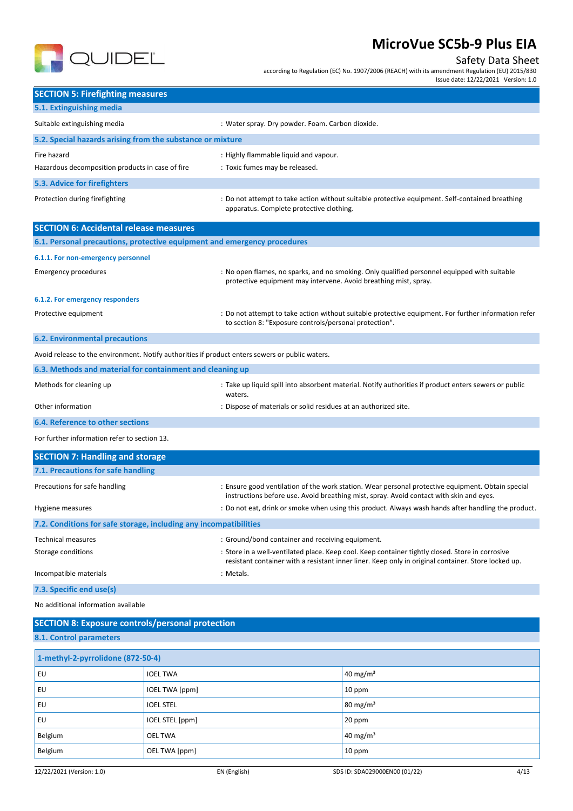

## Safety Data Sheet

according to Regulation (EC) No. 1907/2006 (REACH) with its amendment Regulation (EU) 2015/830

Issue date: 12/22/2021 Version: 1.0

| <b>SECTION 5: Firefighting measures</b>                                                         |                                                                                                                                                                                                         |
|-------------------------------------------------------------------------------------------------|---------------------------------------------------------------------------------------------------------------------------------------------------------------------------------------------------------|
| 5.1. Extinguishing media                                                                        |                                                                                                                                                                                                         |
| Suitable extinguishing media                                                                    | : Water spray. Dry powder. Foam. Carbon dioxide.                                                                                                                                                        |
| 5.2. Special hazards arising from the substance or mixture                                      |                                                                                                                                                                                                         |
| Fire hazard                                                                                     | : Highly flammable liquid and vapour.                                                                                                                                                                   |
| Hazardous decomposition products in case of fire                                                | : Toxic fumes may be released.                                                                                                                                                                          |
| 5.3. Advice for firefighters                                                                    |                                                                                                                                                                                                         |
| Protection during firefighting                                                                  | : Do not attempt to take action without suitable protective equipment. Self-contained breathing<br>apparatus. Complete protective clothing.                                                             |
| <b>SECTION 6: Accidental release measures</b>                                                   |                                                                                                                                                                                                         |
| 6.1. Personal precautions, protective equipment and emergency procedures                        |                                                                                                                                                                                                         |
| 6.1.1. For non-emergency personnel                                                              |                                                                                                                                                                                                         |
| <b>Emergency procedures</b>                                                                     | : No open flames, no sparks, and no smoking. Only qualified personnel equipped with suitable<br>protective equipment may intervene. Avoid breathing mist, spray.                                        |
| 6.1.2. For emergency responders                                                                 |                                                                                                                                                                                                         |
| Protective equipment                                                                            | : Do not attempt to take action without suitable protective equipment. For further information refer<br>to section 8: "Exposure controls/personal protection".                                          |
| <b>6.2. Environmental precautions</b>                                                           |                                                                                                                                                                                                         |
| Avoid release to the environment. Notify authorities if product enters sewers or public waters. |                                                                                                                                                                                                         |
| 6.3. Methods and material for containment and cleaning up                                       |                                                                                                                                                                                                         |
| Methods for cleaning up                                                                         | : Take up liquid spill into absorbent material. Notify authorities if product enters sewers or public<br>waters.                                                                                        |
| Other information                                                                               | : Dispose of materials or solid residues at an authorized site.                                                                                                                                         |
| 6.4. Reference to other sections                                                                |                                                                                                                                                                                                         |
| For further information refer to section 13.                                                    |                                                                                                                                                                                                         |
| <b>SECTION 7: Handling and storage</b>                                                          |                                                                                                                                                                                                         |
| 7.1. Precautions for safe handling                                                              |                                                                                                                                                                                                         |
| Precautions for safe handling                                                                   | : Ensure good ventilation of the work station. Wear personal protective equipment. Obtain special<br>instructions before use. Avoid breathing mist, spray. Avoid contact with skin and eyes.            |
| Hygiene measures                                                                                | : Do not eat, drink or smoke when using this product. Always wash hands after handling the product.                                                                                                     |
| 7.2. Conditions for safe storage, including any incompatibilities                               |                                                                                                                                                                                                         |
| <b>Technical measures</b>                                                                       | : Ground/bond container and receiving equipment.                                                                                                                                                        |
| Storage conditions                                                                              | : Store in a well-ventilated place. Keep cool. Keep container tightly closed. Store in corrosive<br>resistant container with a resistant inner liner. Keep only in original container. Store locked up. |
| Incompatible materials                                                                          | : Metals.                                                                                                                                                                                               |
| 7.3. Specific end use(s)                                                                        |                                                                                                                                                                                                         |
| No additional information available                                                             |                                                                                                                                                                                                         |

| <b>SECTION 8: Exposure controls/personal protection</b> |                       |                      |
|---------------------------------------------------------|-----------------------|----------------------|
| 8.1. Control parameters                                 |                       |                      |
| 1-methyl-2-pyrrolidone (872-50-4)                       |                       |                      |
| EU                                                      | <b>IOEL TWA</b>       | 40 mg/m <sup>3</sup> |
| EU                                                      | <b>IOEL TWA [ppm]</b> | 10 ppm               |
| EU                                                      | <b>IOEL STEL</b>      | $80 \text{ mg/m}^3$  |
| EU                                                      | IOEL STEL [ppm]       | $20$ ppm             |
| Belgium                                                 | <b>OEL TWA</b>        | 40 mg/m <sup>3</sup> |
| Belgium                                                 | OEL TWA [ppm]         | 10 ppm               |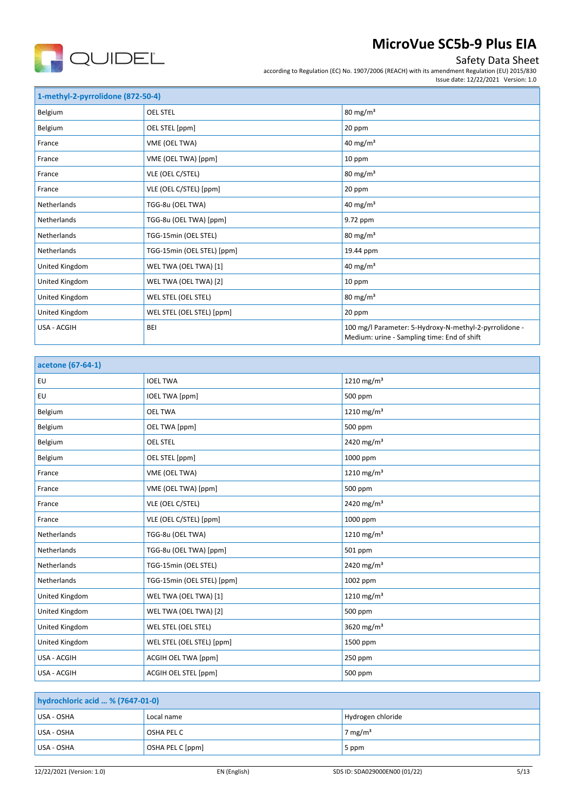

## Safety Data Sheet

according to Regulation (EC) No. 1907/2006 (REACH) with its amendment Regulation (EU) 2015/830 Issue date: 12/22/2021 Version: 1.0

| 1-methyl-2-pyrrolidone (872-50-4) |                            |                                                                                                       |  |
|-----------------------------------|----------------------------|-------------------------------------------------------------------------------------------------------|--|
| Belgium                           | <b>OEL STEL</b>            | $80 \text{ mg/m}^3$                                                                                   |  |
| Belgium                           | OEL STEL [ppm]             | 20 ppm                                                                                                |  |
| France                            | VME (OEL TWA)              | 40 mg/ $m3$                                                                                           |  |
| France                            | VME (OEL TWA) [ppm]        | 10 ppm                                                                                                |  |
| France                            | VLE (OEL C/STEL)           | $80 \text{ mg/m}^3$                                                                                   |  |
| France                            | VLE (OEL C/STEL) [ppm]     | 20 ppm                                                                                                |  |
| Netherlands                       | TGG-8u (OEL TWA)           | 40 mg/m <sup>3</sup>                                                                                  |  |
| Netherlands                       | TGG-8u (OEL TWA) [ppm]     | 9.72 ppm                                                                                              |  |
| Netherlands                       | TGG-15min (OEL STEL)       | $80 \text{ mg/m}^3$                                                                                   |  |
| Netherlands                       | TGG-15min (OEL STEL) [ppm] | 19.44 ppm                                                                                             |  |
| United Kingdom                    | WEL TWA (OEL TWA) [1]      | 40 mg/ $m3$                                                                                           |  |
| United Kingdom                    | WEL TWA (OEL TWA) [2]      | 10 ppm                                                                                                |  |
| United Kingdom                    | WEL STEL (OEL STEL)        | $80 \text{ mg/m}^3$                                                                                   |  |
| United Kingdom                    | WEL STEL (OEL STEL) [ppm]  | 20 ppm                                                                                                |  |
| USA - ACGIH                       | <b>BEI</b>                 | 100 mg/l Parameter: 5-Hydroxy-N-methyl-2-pyrrolidone -<br>Medium: urine - Sampling time: End of shift |  |

| acetone (67-64-1) |                            |                        |
|-------------------|----------------------------|------------------------|
| EU                | <b>IOEL TWA</b>            | 1210 mg/m <sup>3</sup> |
| EU                | <b>IOEL TWA [ppm]</b>      | 500 ppm                |
| Belgium           | <b>OEL TWA</b>             | 1210 mg/m <sup>3</sup> |
| Belgium           | OEL TWA [ppm]              | 500 ppm                |
| Belgium           | <b>OEL STEL</b>            | 2420 mg/m <sup>3</sup> |
| Belgium           | OEL STEL [ppm]             | 1000 ppm               |
| France            | VME (OEL TWA)              | 1210 mg/m <sup>3</sup> |
| France            | VME (OEL TWA) [ppm]        | 500 ppm                |
| France            | VLE (OEL C/STEL)           | 2420 mg/m <sup>3</sup> |
| France            | VLE (OEL C/STEL) [ppm]     | 1000 ppm               |
| Netherlands       | TGG-8u (OEL TWA)           | 1210 mg/m <sup>3</sup> |
| Netherlands       | TGG-8u (OEL TWA) [ppm]     | 501 ppm                |
| Netherlands       | TGG-15min (OEL STEL)       | 2420 mg/m <sup>3</sup> |
| Netherlands       | TGG-15min (OEL STEL) [ppm] | 1002 ppm               |
| United Kingdom    | WEL TWA (OEL TWA) [1]      | 1210 mg/m <sup>3</sup> |
| United Kingdom    | WEL TWA (OEL TWA) [2]      | 500 ppm                |
| United Kingdom    | WEL STEL (OEL STEL)        | 3620 mg/m <sup>3</sup> |
| United Kingdom    | WEL STEL (OEL STEL) [ppm]  | 1500 ppm               |
| USA - ACGIH       | <b>ACGIH OEL TWA [ppm]</b> | 250 ppm                |
| USA - ACGIH       | ACGIH OEL STEL [ppm]       | 500 ppm                |

| hydrochloric acid  % (7647-01-0) |                  |                    |
|----------------------------------|------------------|--------------------|
| USA - OSHA                       | Local name       | Hydrogen chloride  |
| USA - OSHA                       | OSHA PEL C       | $7 \text{ mg/m}^3$ |
| USA - OSHA                       | OSHA PEL C [ppm] | 5 ppm              |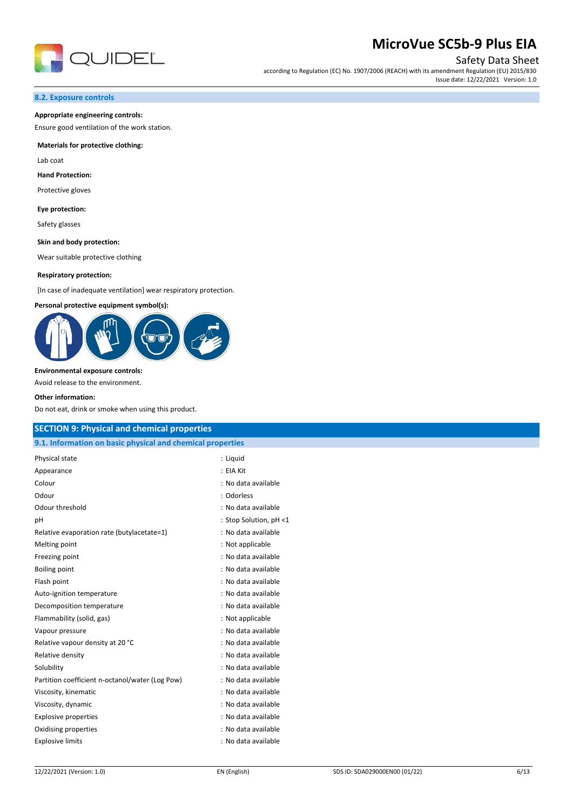

Safety Data Sheet

according to Regulation (EC) No. 1907/2006 (REACH) with its amendment Regulation (EU) 2015/830 Issue date: 12/22/2021 Version: 1.0

#### **8.2. Exposure controls**

#### **Appropriate engineering controls:**

Ensure good ventilation of the work station.

#### **Materials for protective clothing:**

Lab coat

#### **Hand Protection:**

Protective gloves

#### **Eye protection:**

Safety glasses

**Skin and body protection:**

Wear suitable protective clothing

#### **Respiratory protection:**

[In case of inadequate ventilation] wear respiratory protection.

#### **Personal protective equipment symbol(s):**



**Environmental exposure controls:**

Avoid release to the environment.

#### **Other information:**

Do not eat, drink or smoke when using this product.

| <b>SECTION 9: Physical and chemical properties</b>         |                        |  |
|------------------------------------------------------------|------------------------|--|
| 9.1. Information on basic physical and chemical properties |                        |  |
| Physical state                                             | : Liquid               |  |
| Appearance                                                 | : EIA Kit              |  |
| Colour                                                     | : No data available    |  |
| Odour                                                      | : Odorless             |  |
| Odour threshold                                            | : No data available    |  |
| pH                                                         | : Stop Solution, pH <1 |  |
| Relative evaporation rate (butylacetate=1)                 | : No data available    |  |
| Melting point                                              | : Not applicable       |  |
| Freezing point                                             | : No data available    |  |
| <b>Boiling point</b>                                       | : No data available    |  |
| Flash point                                                | : No data available    |  |
| Auto-ignition temperature                                  | : No data available    |  |
| Decomposition temperature                                  | : No data available    |  |
| Flammability (solid, gas)                                  | : Not applicable       |  |
| Vapour pressure                                            | : No data available    |  |
| Relative vapour density at 20 °C                           | : No data available    |  |
| Relative density                                           | : No data available    |  |
| Solubility                                                 | : No data available    |  |
| Partition coefficient n-octanol/water (Log Pow)            | : No data available    |  |
| Viscosity, kinematic                                       | : No data available    |  |
| Viscosity, dynamic                                         | : No data available    |  |
| <b>Explosive properties</b>                                | : No data available    |  |
| Oxidising properties                                       | : No data available    |  |
| <b>Explosive limits</b>                                    | : No data available    |  |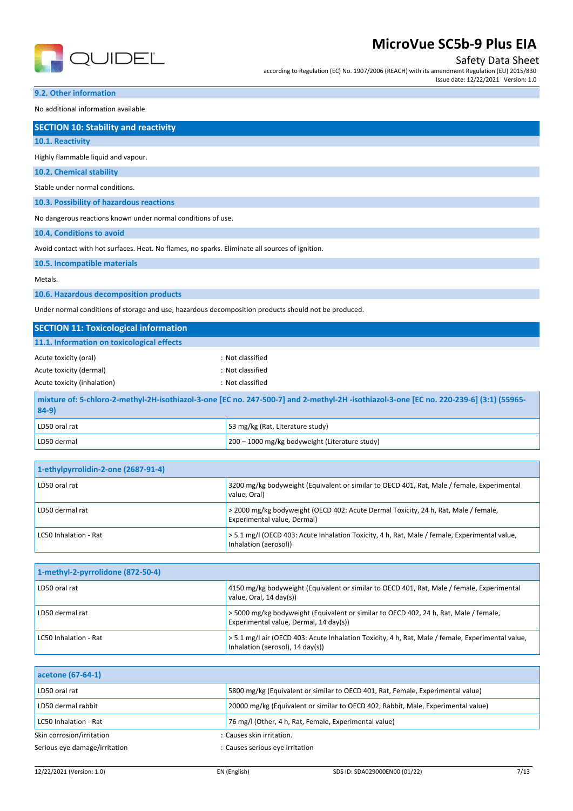

### Safety Data Sheet

according to Regulation (EC) No. 1907/2006 (REACH) with its amendment Regulation (EU) 2015/830 Issue date: 12/22/2021 Version: 1.0

## **9.2. Other information**

No additional information available

|  | <b>SECTION 10: Stability and reactivity</b> |
|--|---------------------------------------------|
|  |                                             |
|  |                                             |
|  |                                             |

| 10.1. Reactivity                                                                                |
|-------------------------------------------------------------------------------------------------|
| Highly flammable liquid and vapour.                                                             |
| 10.2. Chemical stability                                                                        |
| Stable under normal conditions.                                                                 |
| 10.3. Possibility of hazardous reactions                                                        |
| No dangerous reactions known under normal conditions of use.                                    |
| 10.4. Conditions to avoid                                                                       |
| Avoid contact with hot surfaces. Heat. No flames, no sparks. Eliminate all sources of ignition. |
| 10.5. Incompatible materials                                                                    |

Metals.

**10.6. Hazardous decomposition products**

Under normal conditions of storage and use, hazardous decomposition products should not be produced.

| <b>SECTION 11: Toxicological information</b>                                                                                                       |                                  |  |
|----------------------------------------------------------------------------------------------------------------------------------------------------|----------------------------------|--|
| 11.1. Information on toxicological effects                                                                                                         |                                  |  |
| Acute toxicity (oral)                                                                                                                              | : Not classified                 |  |
| Acute toxicity (dermal)                                                                                                                            | : Not classified                 |  |
| Acute toxicity (inhalation)                                                                                                                        | : Not classified                 |  |
| mixture of: 5-chloro-2-methyl-2H-isothiazol-3-one [EC no. 247-500-7] and 2-methyl-2H-isothiazol-3-one [EC no. 220-239-6] (3:1) (55965-<br>$ 84-9 $ |                                  |  |
| LD50 oral rat                                                                                                                                      | 53 mg/kg (Rat, Literature study) |  |

|                                     | <u>.</u>                                       |
|-------------------------------------|------------------------------------------------|
| LD50 dermal                         | 200 - 1000 mg/kg bodyweight (Literature study) |
|                                     |                                                |
| 1-ethylpyrrolidin-2-one (2687-91-4) |                                                |

| LD50 oral rat         | 3200 mg/kg bodyweight (Equivalent or similar to OECD 401, Rat, Male / female, Experimental<br>value. Oral)             |
|-----------------------|------------------------------------------------------------------------------------------------------------------------|
| LD50 dermal rat       | > 2000 mg/kg bodyweight (OECD 402: Acute Dermal Toxicity, 24 h, Rat, Male / female,<br>Experimental value, Dermal)     |
| LC50 Inhalation - Rat | > 5.1 mg/l (OECD 403: Acute Inhalation Toxicity, 4 h, Rat, Male / female, Experimental value,<br>Inhalation (aerosol)) |

| 1-methyl-2-pyrrolidone (872-50-4) |                                                                                                                                       |
|-----------------------------------|---------------------------------------------------------------------------------------------------------------------------------------|
| LD50 oral rat                     | 4150 mg/kg bodyweight (Equivalent or similar to OECD 401, Rat, Male / female, Experimental<br>value, Oral, 14 day(s))                 |
| LD50 dermal rat                   | > 5000 mg/kg bodyweight (Equivalent or similar to OECD 402, 24 h, Rat, Male / female,<br>Experimental value, Dermal, 14 day(s))       |
| LC50 Inhalation - Rat             | > 5.1 mg/l air (OECD 403: Acute Inhalation Toxicity, 4 h, Rat, Male / female, Experimental value,<br>Inhalation (aerosol), 14 day(s)) |

| acetone (67-64-1)             |                                                                                   |
|-------------------------------|-----------------------------------------------------------------------------------|
| LD50 oral rat                 | 5800 mg/kg (Equivalent or similar to OECD 401, Rat, Female, Experimental value)   |
| LD50 dermal rabbit            | 20000 mg/kg (Equivalent or similar to OECD 402, Rabbit, Male, Experimental value) |
| LC50 Inhalation - Rat         | 76 mg/l (Other, 4 h, Rat, Female, Experimental value)                             |
| Skin corrosion/irritation     | : Causes skin irritation.                                                         |
| Serious eye damage/irritation | : Causes serious eye irritation                                                   |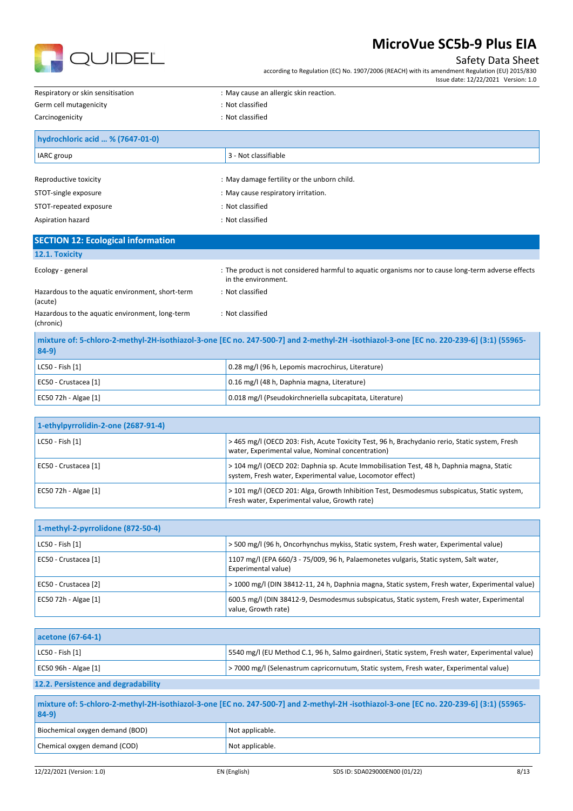

### Safety Data Sheet

according to Regulation (EC) No. 1907/2006 (REACH) with its amendment Regulation (EU) 2015/830

|                                                      | date: 12/22/2021 ·<br>issue               | Version: 1.0 |
|------------------------------------------------------|-------------------------------------------|--------------|
| Respiratory<br>r skin sensitisation.<br>$\mathbf{u}$ | , cause an allergic skin reaction.<br>Mav |              |

| Germ cell mutagenicity                    | : Not classified                            |
|-------------------------------------------|---------------------------------------------|
| Carcinogenicity                           | : Not classified                            |
| hydrochloric acid  % (7647-01-0)          |                                             |
| IARC group                                | 3 - Not classifiable                        |
|                                           |                                             |
| Reproductive toxicity                     | : May damage fertility or the unborn child. |
| STOT-single exposure                      | : May cause respiratory irritation.         |
| STOT-repeated exposure                    | : Not classified                            |
| Aspiration hazard                         | : Not classified                            |
| <b>SECTION 12: Ecological information</b> |                                             |
|                                           |                                             |

#### **12.1. Toxicity**

Hazardous to the aquatic environment, short-term

Ecology - general states of the product is not considered harmful to aquatic organisms nor to cause long-term adverse effects in the environment. : Not classified

| (acute)                                                      |                  |
|--------------------------------------------------------------|------------------|
| Hazardous to the aquatic environment, long-term<br>(chronic) | : Not classified |
|                                                              |                  |

| mixture of: 5-chloro-2-methyl-2H-isothiazol-3-one [EC no. 247-500-7] and 2-methyl-2H -isothiazol-3-one [EC no. 220-239-6] (3:1) (55965-<br>$84-9$ |                                                          |  |
|---------------------------------------------------------------------------------------------------------------------------------------------------|----------------------------------------------------------|--|
| LC50 - Fish [1]                                                                                                                                   | 0.28 mg/l (96 h, Lepomis macrochirus, Literature)        |  |
| EC50 - Crustacea [1]                                                                                                                              | 0.16 mg/l (48 h, Daphnia magna, Literature)              |  |
| EC50 72h - Algae [1]                                                                                                                              | 0.018 mg/l (Pseudokirchneriella subcapitata, Literature) |  |

| 1-ethylpyrrolidin-2-one (2687-91-4) |                                                                                                                                                        |
|-------------------------------------|--------------------------------------------------------------------------------------------------------------------------------------------------------|
| LC50 - Fish [1]                     | >465 mg/l (OECD 203: Fish, Acute Toxicity Test, 96 h, Brachydanio rerio, Static system, Fresh<br>water, Experimental value, Nominal concentration)     |
| EC50 - Crustacea [1]                | > 104 mg/l (OECD 202: Daphnia sp. Acute Immobilisation Test, 48 h, Daphnia magna, Static<br>system, Fresh water, Experimental value, Locomotor effect) |
| EC50 72h - Algae [1]                | > 101 mg/l (OECD 201: Alga, Growth Inhibition Test, Desmodesmus subspicatus, Static system,<br>Fresh water, Experimental value, Growth rate)           |

| 1-methyl-2-pyrrolidone (872-50-4) |                                                                                                                   |
|-----------------------------------|-------------------------------------------------------------------------------------------------------------------|
| $LC50 - Fish [1]$                 | > 500 mg/l (96 h, Oncorhynchus mykiss, Static system, Fresh water, Experimental value)                            |
| EC50 - Crustacea [1]              | 1107 mg/l (EPA 660/3 - 75/009, 96 h, Palaemonetes vulgaris, Static system, Salt water,<br>Experimental value)     |
| EC50 - Crustacea [2]              | > 1000 mg/l (DIN 38412-11, 24 h, Daphnia magna, Static system, Fresh water, Experimental value)                   |
| EC50 72h - Algae [1]              | 600.5 mg/l (DIN 38412-9, Desmodesmus subspicatus, Static system, Fresh water, Experimental<br>value, Growth rate) |

| acetone (67-64-1)                   |                                                                                                  |
|-------------------------------------|--------------------------------------------------------------------------------------------------|
| $ $ LC50 - Fish $[1]$               | 5540 mg/l (EU Method C.1, 96 h, Salmo gairdneri, Static system, Fresh water, Experimental value) |
| EC50 96h - Algae $[1]$              | >7000 mg/l (Selenastrum capricornutum, Static system, Fresh water, Experimental value)           |
| 12.2. Persistence and degradability |                                                                                                  |

| mixture of: 5-chloro-2-methyl-2H-isothiazol-3-one [EC no. 247-500-7] and 2-methyl-2H-isothiazol-3-one [EC no. 220-239-6] (3:1) (55965-<br>$84-9)$ |                 |
|---------------------------------------------------------------------------------------------------------------------------------------------------|-----------------|
| Biochemical oxygen demand (BOD)                                                                                                                   | Not applicable. |
| Chemical oxygen demand (COD)                                                                                                                      | Not applicable. |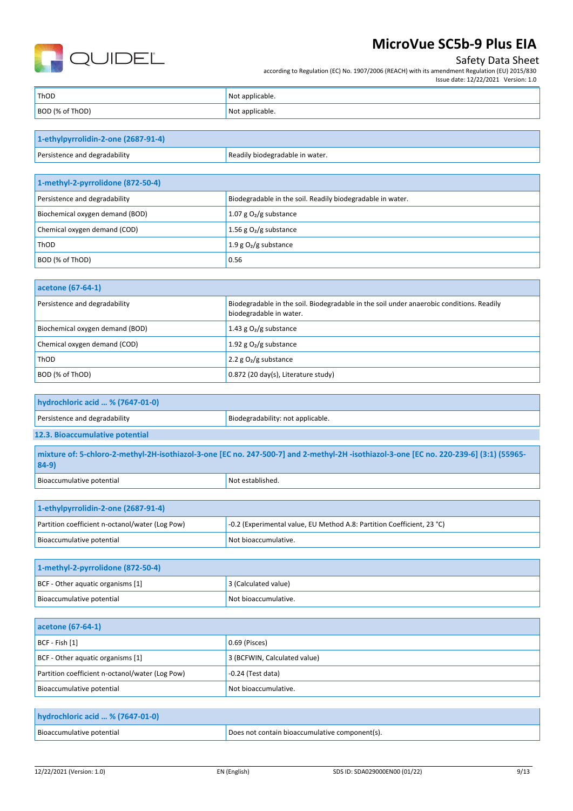

## Safety Data Sheet

according to Regulation (EC) No. 1907/2006 (REACH) with its amendment Regulation (EU) 2015/830 Issue date: 12/22/2021 Version: 1.0

| ThOD            | Not applicable. |
|-----------------|-----------------|
| BOD (% of ThOD) | Not applicable. |

| 1-ethylpyrrolidin-2-one (2687-91-4) |                                 |
|-------------------------------------|---------------------------------|
| Persistence and degradability       | Readily biodegradable in water. |

| 1-methyl-2-pyrrolidone (872-50-4) |                                                            |
|-----------------------------------|------------------------------------------------------------|
| Persistence and degradability     | Biodegradable in the soil. Readily biodegradable in water. |
| Biochemical oxygen demand (BOD)   | 1.07 g $O_2$ /g substance                                  |
| Chemical oxygen demand (COD)      | 1.56 g $O_2$ /g substance                                  |
| ThOD                              | 1.9 g $O_2/g$ substance                                    |
| BOD (% of ThOD)                   | 0.56                                                       |

| acetone (67-64-1)               |                                                                                                                     |
|---------------------------------|---------------------------------------------------------------------------------------------------------------------|
| Persistence and degradability   | Biodegradable in the soil. Biodegradable in the soil under anaerobic conditions. Readily<br>biodegradable in water. |
| Biochemical oxygen demand (BOD) | 1.43 g $O2/g$ substance                                                                                             |
| Chemical oxygen demand (COD)    | 1.92 g $O_2/g$ substance                                                                                            |
| ThOD                            | 2.2 $g O2/g$ substance                                                                                              |
| BOD (% of ThOD)                 | 0.872 (20 day(s), Literature study)                                                                                 |

| hydrochloric acid  % (7647-01-0) |                                   |
|----------------------------------|-----------------------------------|
| Persistence and degradability    | Biodegradability: not applicable. |
| 12.3. Bioaccumulative potential  |                                   |

**mixture of: 5-chloro-2-methyl-2H-isothiazol-3-one [EC no. 247-500-7] and 2-methyl-2H -isothiazol-3-one [EC no. 220-239-6] (3:1) (55965- 84-9)**  $\overline{\phantom{a}}$ Bioaccumulative potential  $\overline{\phantom{a}}$ 

| 1-ethylpyrrolidin-2-one (2687-91-4)             |                                                                        |
|-------------------------------------------------|------------------------------------------------------------------------|
| Partition coefficient n-octanol/water (Log Pow) | -0.2 (Experimental value, EU Method A.8: Partition Coefficient, 23 °C) |
| Bioaccumulative potential                       | Not bioaccumulative.                                                   |

| 1-methyl-2-pyrrolidone (872-50-4) |                      |
|-----------------------------------|----------------------|
| BCF - Other aquatic organisms [1] | 3 (Calculated value) |
| Bioaccumulative potential         | Not bioaccumulative. |

| acetone (67-64-1)                               |                              |
|-------------------------------------------------|------------------------------|
| $ BCF - Fish [1]$                               | 0.69 (Pisces)                |
| BCF - Other aquatic organisms [1]               | 3 (BCFWIN, Calculated value) |
| Partition coefficient n-octanol/water (Log Pow) | $-0.24$ (Test data)          |
| Bioaccumulative potential                       | Not bioaccumulative.         |

| hydrochloric acid  % (7647-01-0) |                                                |
|----------------------------------|------------------------------------------------|
| Bioaccumulative potential        | Does not contain bioaccumulative component(s). |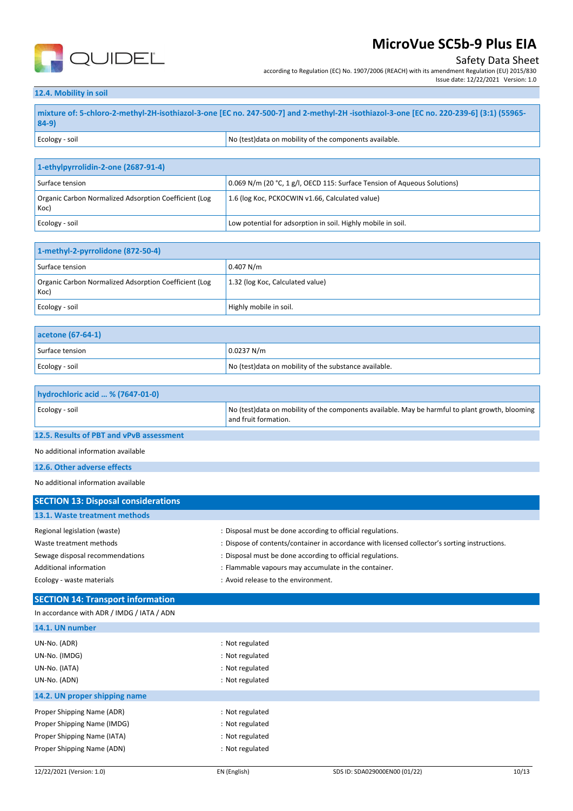

### Safety Data Sheet

Issue date: 12/22/2021 Version: 1.0

according to Regulation (EC) No. 1907/2006 (REACH) with its amendment Regulation (EU) 2015/830

#### **12.4. Mobility in soil**

**mixture of: 5-chloro-2-methyl-2H-isothiazol-3-one [EC no. 247-500-7] and 2-methyl-2H -isothiazol-3-one [EC no. 220-239-6] (3:1) (55965- 84-9)** Ecology - soil **Ecology** - soil **No Secology** - soil and  $\overline{X}$  are  $\overline{X}$  and  $\overline{X}$  are  $\overline{X}$  and  $\overline{X}$  are  $\overline{X}$  are  $\overline{X}$  and  $\overline{X}$  are  $\overline{X}$  are  $\overline{X}$  are  $\overline{X}$  are  $\overline{X}$  are  $\overline{X}$ 

| 1-ethylpyrrolidin-2-one (2687-91-4)                           |                                                                          |
|---------------------------------------------------------------|--------------------------------------------------------------------------|
| Surface tension                                               | 0.069 N/m (20 °C, 1 g/l, OECD 115: Surface Tension of Aqueous Solutions) |
| Organic Carbon Normalized Adsorption Coefficient (Log<br>Koc) | 1.6 (log Koc, PCKOCWIN v1.66, Calculated value)                          |
| Ecology - soil                                                | Low potential for adsorption in soil. Highly mobile in soil.             |

| 1-methyl-2-pyrrolidone (872-50-4)                             |                                  |
|---------------------------------------------------------------|----------------------------------|
| Surface tension                                               | 0.407 N/m                        |
| Organic Carbon Normalized Adsorption Coefficient (Log<br>Koc) | 1.32 (log Koc, Calculated value) |
| Ecology - soil                                                | Highly mobile in soil.           |

| acetone (67-64-1) |                                                        |
|-------------------|--------------------------------------------------------|
| Surface tension   | 0.0237 N/m                                             |
| Ecology - soil    | No (test) data on mobility of the substance available. |

| hydrochloric acid  % (7647-01-0) |                                                                                                                          |
|----------------------------------|--------------------------------------------------------------------------------------------------------------------------|
| Ecology - soil                   | No (test) data on mobility of the components available. May be harmful to plant growth, blooming<br>and fruit formation. |

#### **12.5. Results of PBT and vPvB assessment**

No additional information available

#### **12.6. Other adverse effects**

No additional information available

| <b>SECTION 13: Disposal considerations</b> |                                                                                               |
|--------------------------------------------|-----------------------------------------------------------------------------------------------|
| 13.1. Waste treatment methods              |                                                                                               |
| Regional legislation (waste)               | : Disposal must be done according to official regulations.                                    |
| Waste treatment methods                    | : Dispose of contents/container in accordance with licensed collector's sorting instructions. |
| Sewage disposal recommendations            | : Disposal must be done according to official regulations.                                    |
| Additional information                     | : Flammable vapours may accumulate in the container.                                          |
| Ecology - waste materials                  | : Avoid release to the environment.                                                           |

#### **SECTION 14: Transport information**

| In accordance with ADR / IMDG / IATA / ADN |                 |
|--------------------------------------------|-----------------|
| 14.1. UN number                            |                 |
| UN-No. (ADR)                               | : Not regulated |
| UN-No. (IMDG)                              | : Not regulated |
| UN-No. (IATA)                              | : Not regulated |
| UN-No. (ADN)                               | : Not regulated |
| 14.2. UN proper shipping name              |                 |
| Proper Shipping Name (ADR)                 | : Not regulated |
| Proper Shipping Name (IMDG)                | : Not regulated |
| Proper Shipping Name (IATA)                | : Not regulated |
| Proper Shipping Name (ADN)                 | : Not regulated |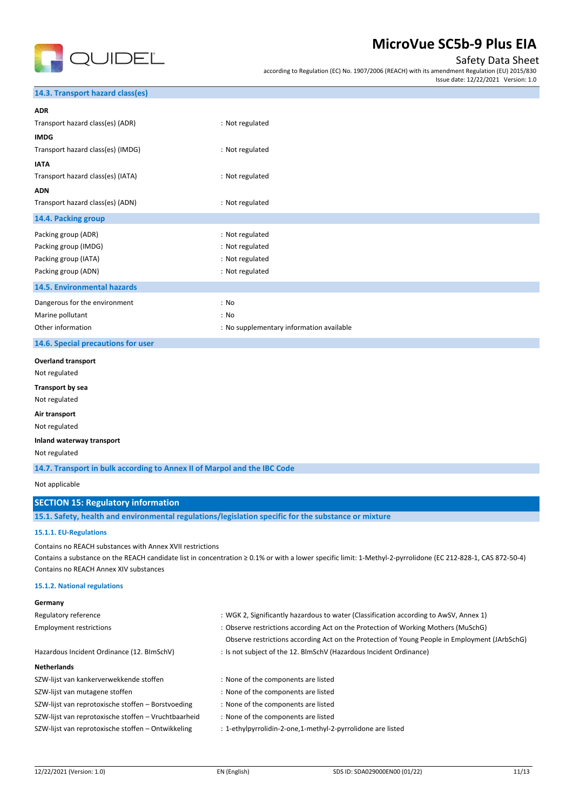

### Safety Data Sheet

according to Regulation (EC) No. 1907/2006 (REACH) with its amendment Regulation (EU) 2015/830 Issue date: 12/22/2021 Version: 1.0

#### **14.3. Transport hazard class(es)**

| <b>ADR</b>                         |                                          |
|------------------------------------|------------------------------------------|
| Transport hazard class(es) (ADR)   | : Not regulated                          |
| <b>IMDG</b>                        |                                          |
| Transport hazard class(es) (IMDG)  | : Not regulated                          |
| <b>IATA</b>                        |                                          |
| Transport hazard class(es) (IATA)  | : Not regulated                          |
| <b>ADN</b>                         |                                          |
| Transport hazard class(es) (ADN)   | : Not regulated                          |
| 14.4. Packing group                |                                          |
| Packing group (ADR)                | : Not regulated                          |
| Packing group (IMDG)               | : Not regulated                          |
| Packing group (IATA)               | : Not regulated                          |
| Packing group (ADN)                | : Not regulated                          |
| 14.5. Environmental hazards        |                                          |
| Dangerous for the environment      | : No                                     |
| Marine pollutant                   | : No                                     |
| Other information                  | : No supplementary information available |
| 14.6. Special precautions for user |                                          |
| <b>Overland transport</b>          |                                          |
| Not regulated                      |                                          |
| Transport by sea                   |                                          |
| Not regulated                      |                                          |
| Air transport                      |                                          |
| Not regulated                      |                                          |
| Inland waterway transport          |                                          |
| Not regulated                      |                                          |

**14.7. Transport in bulk according to Annex II of Marpol and the IBC Code**

Not applicable

**Germany**

### **SECTION 15: Regulatory information**

**15.1. Safety, health and environmental regulations/legislation specific for the substance or mixture**

#### **15.1.1. EU-Regulations**

Contains no REACH substances with Annex XVII restrictions

Contains a substance on the REACH candidate list in concentration ≥ 0.1% or with a lower specific limit: 1-Methyl-2-pyrrolidone (EC 212-828-1, CAS 872-50-4) Contains no REACH Annex XIV substances

#### **15.1.2. National regulations**

| <b>JEHINGHY</b>                                      |                                                                                               |
|------------------------------------------------------|-----------------------------------------------------------------------------------------------|
| Regulatory reference                                 | : WGK 2, Significantly hazardous to water (Classification according to AwSV, Annex 1)         |
| <b>Employment restrictions</b>                       | : Observe restrictions according Act on the Protection of Working Mothers (MuSchG)            |
|                                                      | Observe restrictions according Act on the Protection of Young People in Employment (JArbSchG) |
| Hazardous Incident Ordinance (12. BImSchV)           | : Is not subject of the 12. BlmSchV (Hazardous Incident Ordinance)                            |
| <b>Netherlands</b>                                   |                                                                                               |
| SZW-lijst van kankerverwekkende stoffen              | : None of the components are listed                                                           |
| SZW-lijst van mutagene stoffen                       | : None of the components are listed                                                           |
| SZW-lijst van reprotoxische stoffen - Borstvoeding   | : None of the components are listed                                                           |
| SZW-lijst van reprotoxische stoffen - Vruchtbaarheid | : None of the components are listed                                                           |
| SZW-lijst van reprotoxische stoffen - Ontwikkeling   | : 1-ethylpyrrolidin-2-one,1-methyl-2-pyrrolidone are listed                                   |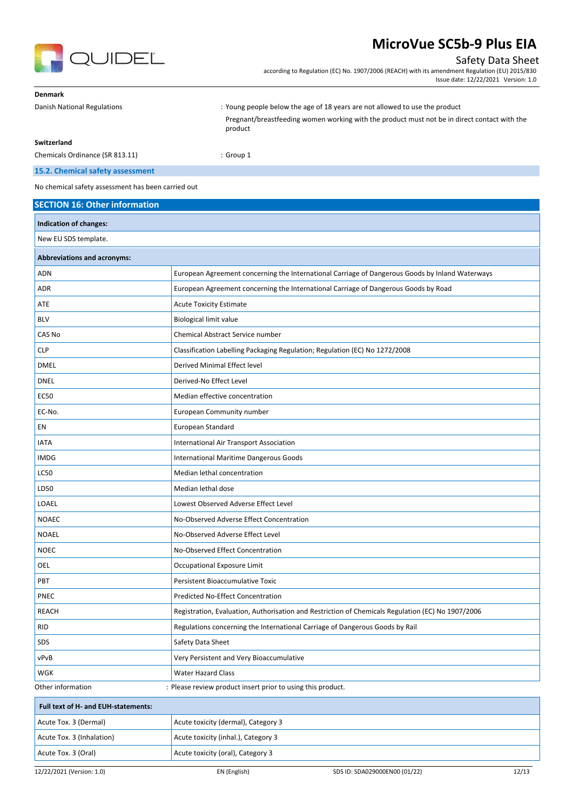

### Safety Data Sheet

according to Regulation (EC) No. 1907/2006 (REACH) with its amendment Regulation (EU) 2015/830 Issue date: 12/22/2021 Version: 1.0

| <b>Denmark</b>                  |                                                                                                         |
|---------------------------------|---------------------------------------------------------------------------------------------------------|
| Danish National Regulations     | : Young people below the age of 18 years are not allowed to use the product                             |
|                                 | Pregnant/breastfeeding women working with the product must not be in direct contact with the<br>product |
| Switzerland                     |                                                                                                         |
| Chemicals Ordinance (SR 813.11) | $:$ Group 1                                                                                             |

### **15.2. Chemical safety assessment**

No chemical safety assessment has been carried out

| <b>SECTION 16: Other information</b> |                                                                                                   |
|--------------------------------------|---------------------------------------------------------------------------------------------------|
| Indication of changes:               |                                                                                                   |
| New EU SDS template.                 |                                                                                                   |
| <b>Abbreviations and acronyms:</b>   |                                                                                                   |
| <b>ADN</b>                           | European Agreement concerning the International Carriage of Dangerous Goods by Inland Waterways   |
| ADR                                  | European Agreement concerning the International Carriage of Dangerous Goods by Road               |
| ATE                                  | <b>Acute Toxicity Estimate</b>                                                                    |
| <b>BLV</b>                           | <b>Biological limit value</b>                                                                     |
| CAS No                               | Chemical Abstract Service number                                                                  |
| <b>CLP</b>                           | Classification Labelling Packaging Regulation; Regulation (EC) No 1272/2008                       |
| <b>DMEL</b>                          | Derived Minimal Effect level                                                                      |
| <b>DNEL</b>                          | Derived-No Effect Level                                                                           |
| <b>EC50</b>                          | Median effective concentration                                                                    |
| EC-No.                               | European Community number                                                                         |
| EN                                   | European Standard                                                                                 |
| <b>IATA</b>                          | International Air Transport Association                                                           |
| <b>IMDG</b>                          | International Maritime Dangerous Goods                                                            |
| LC50                                 | Median lethal concentration                                                                       |
| LD50                                 | Median lethal dose                                                                                |
| LOAEL                                | Lowest Observed Adverse Effect Level                                                              |
| <b>NOAEC</b>                         | No-Observed Adverse Effect Concentration                                                          |
| <b>NOAEL</b>                         | No-Observed Adverse Effect Level                                                                  |
| <b>NOEC</b>                          | No-Observed Effect Concentration                                                                  |
| OEL                                  | Occupational Exposure Limit                                                                       |
| <b>PBT</b>                           | Persistent Bioaccumulative Toxic                                                                  |
| PNEC                                 | Predicted No-Effect Concentration                                                                 |
| <b>REACH</b>                         | Registration, Evaluation, Authorisation and Restriction of Chemicals Regulation (EC) No 1907/2006 |
| <b>RID</b>                           | Regulations concerning the International Carriage of Dangerous Goods by Rail                      |
| SDS                                  | Safety Data Sheet                                                                                 |
| vPvB                                 | Very Persistent and Very Bioaccumulative                                                          |
| WGK                                  | Water Hazard Class                                                                                |
| Other information                    | : Please review product insert prior to using this product.                                       |
| Full text of H- and EUH-statements:  |                                                                                                   |
| Acute Tox. 3 (Dermal)                | Acute toxicity (dermal), Category 3                                                               |
| Acute Tox. 3 (Inhalation)            | Acute toxicity (inhal.), Category 3                                                               |
| Acute Tox. 3 (Oral)                  | Acute toxicity (oral), Category 3                                                                 |